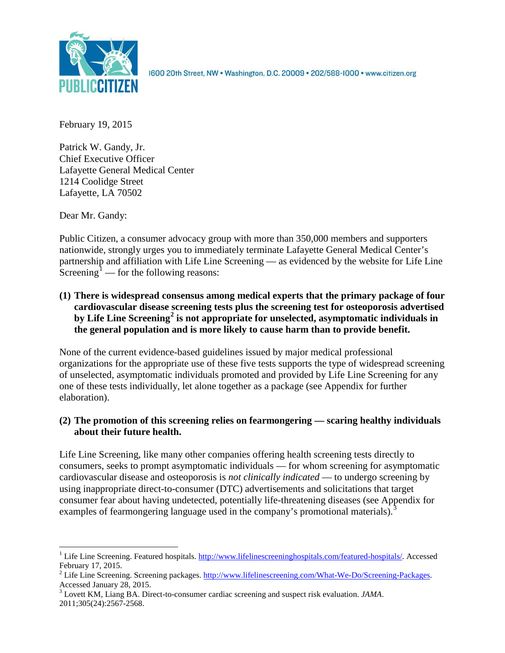

1600 20th Street, NW . Washington, D.C. 20009 . 202/588-1000 . www.citizen.org

February 19, 2015

Patrick W. Gandy, Jr. Chief Executive Officer Lafayette General Medical Center 1214 Coolidge Street Lafayette, LA 70502

Dear Mr. Gandy:

Public Citizen, a consumer advocacy group with more than 350,000 members and supporters nationwide, strongly urges you to immediately terminate Lafayette General Medical Center's partnership and affiliation with Life Line Screening — as evidenced by the website for Life Line Screening<sup>[1](#page-0-0)</sup> — for the following reasons:

**(1) There is widespread consensus among medical experts that the primary package of four cardiovascular disease screening tests plus the screening test for osteoporosis advertised by Life Line Screening[2](#page-0-1) is not appropriate for unselected, asymptomatic individuals in the general population and is more likely to cause harm than to provide benefit.**

None of the current evidence-based guidelines issued by major medical professional organizations for the appropriate use of these five tests supports the type of widespread screening of unselected, asymptomatic individuals promoted and provided by Life Line Screening for any one of these tests individually, let alone together as a package (see Appendix for further elaboration).

# **(2) The promotion of this screening relies on fearmongering — scaring healthy individuals about their future health.**

Life Line Screening, like many other companies offering health screening tests directly to consumers, seeks to prompt asymptomatic individuals — for whom screening for asymptomatic cardiovascular disease and osteoporosis is *not clinically indicated* — to undergo screening by using inappropriate direct-to-consumer (DTC) advertisements and solicitations that target consumer fear about having undetected, potentially life-threatening diseases (see Appendix for examples of fearmongering language used in the company's promotional materials).<sup>[3](#page-0-2)</sup>

<span id="page-0-0"></span><sup>&</sup>lt;sup>1</sup> Life Line Screening. Featured hospitals. [http://www.lifelinescreeninghospitals.com/featured-hospitals/.](http://www.lifelinescreeninghospitals.com/featured-hospitals/) Accessed

<span id="page-0-1"></span>February 17, 2015.<br><sup>2</sup> Life Line Screening. Screening packages. [http://www.lifelinescreening.com/What-We-Do/Screening-Packages.](http://www.lifelinescreening.com/What-We-Do/Screening-Packages)<br>Accessed January 28, 2015.

<span id="page-0-2"></span><sup>&</sup>lt;sup>3</sup> Lovett KM, Liang BA. Direct-to-consumer cardiac screening and suspect risk evaluation. *JAMA*. 2011;305(24):2567-2568.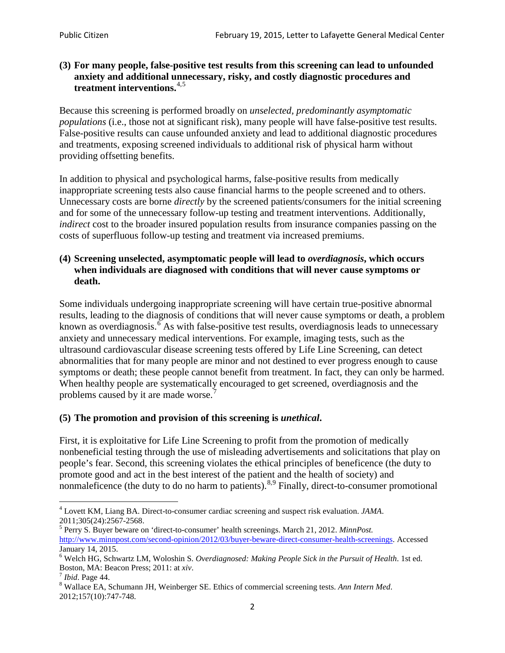### **(3) For many people, false-positive test results from this screening can lead to unfounded anxiety and additional unnecessary, risky, and costly diagnostic procedures and treatment interventions.**[4](#page-1-0),[5](#page-1-1)

Because this screening is performed broadly on *unselected, predominantly asymptomatic populations* (i.e., those not at significant risk), many people will have false**-**positive test results. False-positive results can cause unfounded anxiety and lead to additional diagnostic procedures and treatments, exposing screened individuals to additional risk of physical harm without providing offsetting benefits.

In addition to physical and psychological harms, false-positive results from medically inappropriate screening tests also cause financial harms to the people screened and to others. Unnecessary costs are borne *directly* by the screened patients/consumers for the initial screening and for some of the unnecessary follow-up testing and treatment interventions. Additionally, *indirect* cost to the broader insured population results from insurance companies passing on the costs of superfluous follow-up testing and treatment via increased premiums.

### **(4) Screening unselected, asymptomatic people will lead to** *overdiagnosis***, which occurs when individuals are diagnosed with conditions that will never cause symptoms or death.**

Some individuals undergoing inappropriate screening will have certain true-positive abnormal results, leading to the diagnosis of conditions that will never cause symptoms or death, a problem known as overdiagnosis.<sup>[6](#page-1-2)</sup> As with false-positive test results, overdiagnosis leads to unnecessary anxiety and unnecessary medical interventions. For example, imaging tests, such as the ultrasound cardiovascular disease screening tests offered by Life Line Screening, can detect abnormalities that for many people are minor and not destined to ever progress enough to cause symptoms or death; these people cannot benefit from treatment. In fact, they can only be harmed. When healthy people are systematically encouraged to get screened, overdiagnosis and the problems caused by it are made worse.<sup>[7](#page-1-3)</sup>

## **(5) The promotion and provision of this screening is** *unethical***.**

First, it is exploitative for Life Line Screening to profit from the promotion of medically nonbeneficial testing through the use of misleading advertisements and solicitations that play on people's fear. Second, this screening violates the ethical principles of beneficence (the duty to promote good and act in the best interest of the patient and the health of society) and nonmaleficence (the duty to do no harm to patients).<sup>[8](#page-1-4),[9](#page-1-5)</sup> Finally, direct-to-consumer promotional

<span id="page-1-4"></span>2012;157(10):747-748.

<span id="page-1-5"></span><span id="page-1-0"></span><sup>4</sup> Lovett KM, Liang BA. Direct-to-consumer cardiac screening and suspect risk evaluation. *JAMA*.

<span id="page-1-1"></span><sup>2011;305(24):2567-2568.</sup> <sup>5</sup> Perry S. Buyer beware on 'direct-to-consumer' health screenings. March 21, 2012. *MinnPost.*  [http://www.minnpost.com/second-opinion/2012/03/buyer-beware-direct-consumer-health-screenings.](http://www.minnpost.com/second-opinion/2012/03/buyer-beware-direct-consumer-health-screenings) Accessed January 14, 2015.

<span id="page-1-2"></span><sup>6</sup> Welch HG, Schwartz LM, Woloshin S. *Overdiagnosed: Making People Sick in the Pursuit of Health*. 1st ed. Boston, MA: Beacon Press; 2011: at *xiv*.<br><sup>7</sup> *Ibid*. Page 44.<br><sup>8</sup> Wallace EA, Schumann JH, Weinberger SE. Ethics of commercial screening tests. *Ann Intern Med*.

<span id="page-1-3"></span>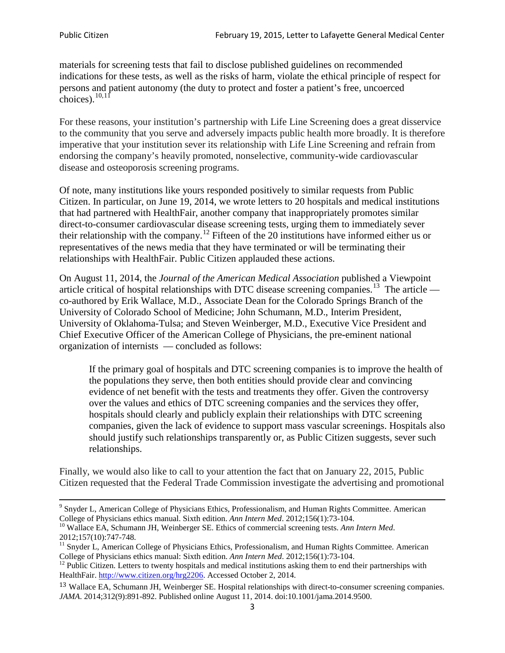materials for screening tests that fail to disclose published guidelines on recommended indications for these tests, as well as the risks of harm, violate the ethical principle of respect for persons and patient autonomy (the duty to protect and foster a patient's free, uncoerced choices). $\frac{10,11}{10,11}$  $\frac{10,11}{10,11}$  $\frac{10,11}{10,11}$  $\frac{10,11}{10,11}$ 

For these reasons, your institution's partnership with Life Line Screening does a great disservice to the community that you serve and adversely impacts public health more broadly. It is therefore imperative that your institution sever its relationship with Life Line Screening and refrain from endorsing the company's heavily promoted, nonselective, community**-**wide cardiovascular disease and osteoporosis screening programs.

Of note, many institutions like yours responded positively to similar requests from Public Citizen. In particular, on June 19, 2014, we wrote letters to 20 hospitals and medical institutions that had partnered with HealthFair, another company that inappropriately promotes similar direct-to-consumer cardiovascular disease screening tests, urging them to immediately sever their relationship with the company. [12](#page-2-2) Fifteen of the 20 institutions have informed either us or representatives of the news media that they have terminated or will be terminating their relationships with HealthFair. Public Citizen applauded these actions.

On August 11, 2014, the *Journal of the American Medical Association* published a Viewpoint article critical of hospital relationships with DTC disease screening companies.<sup>13</sup> The article co-authored by Erik Wallace, M.D., Associate Dean for the Colorado Springs Branch of the University of Colorado School of Medicine; John Schumann, M.D., Interim President, University of Oklahoma-Tulsa; and Steven Weinberger, M.D., Executive Vice President and Chief Executive Officer of the American College of Physicians, the pre**-**eminent national organization of internists — concluded as follows:

If the primary goal of hospitals and DTC screening companies is to improve the health of the populations they serve, then both entities should provide clear and convincing evidence of net benefit with the tests and treatments they offer. Given the controversy over the values and ethics of DTC screening companies and the services they offer, hospitals should clearly and publicly explain their relationships with DTC screening companies, given the lack of evidence to support mass vascular screenings. Hospitals also should justify such relationships transparently or, as Public Citizen suggests, sever such relationships.

Finally, we would also like to call to your attention the fact that on January 22, 2015, Public Citizen requested that the Federal Trade Commission investigate the advertising and promotional

<sup>&</sup>lt;sup>9</sup> Snyder L, American College of Physicians Ethics, Professionalism, and Human Rights Committee. American College of Physicians ethics manual. Sixth edition. Ann Intern Med. 2012;156(1):73-104.

<span id="page-2-0"></span><sup>&</sup>lt;sup>10</sup> Wallace EA, Schumann JH, Weinberger SE. Ethics of commercial screening tests. *Ann Intern Med*. 2012;157(10):747-748.

<span id="page-2-1"></span> $11$  Snyder L, American College of Physicians Ethics, Professionalism, and Human Rights Committee. American College of Physicians ethics manual: Sixth edition. *Ann Intern Med*. 2012;156(1):73-104.<br><sup>12</sup> Public Citizen. Letters to twenty hospitals and medical institutions asking them to end their partnerships with

<span id="page-2-2"></span>HealthFair. [http://www.citizen.org/hrg2206.](http://www.citizen.org/hrg2206) Accessed October 2, 2014.

<span id="page-2-3"></span><sup>13</sup> Wallace EA, Schumann JH, Weinberger SE. Hospital relationships with direct-to-consumer screening companies. *JAMA*. 2014;312(9):891-892. Published online August 11, 2014. doi:10.1001/jama.2014.9500.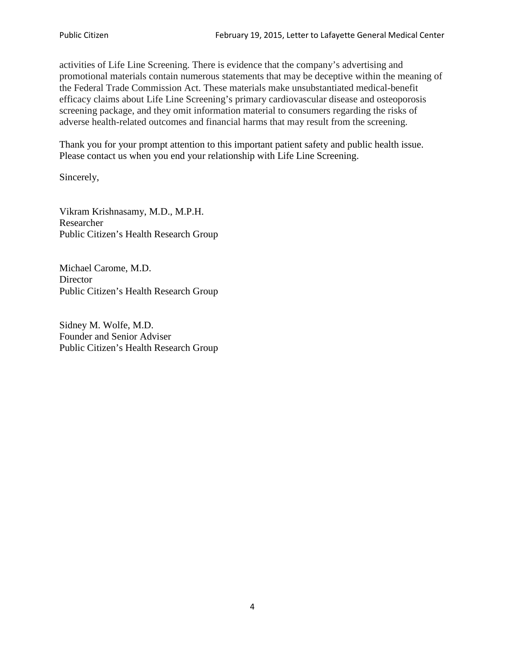activities of Life Line Screening. There is evidence that the company's advertising and promotional materials contain numerous statements that may be deceptive within the meaning of the Federal Trade Commission Act. These materials make unsubstantiated medical-benefit efficacy claims about Life Line Screening's primary cardiovascular disease and osteoporosis screening package, and they omit information material to consumers regarding the risks of adverse health-related outcomes and financial harms that may result from the screening.

Thank you for your prompt attention to this important patient safety and public health issue. Please contact us when you end your relationship with Life Line Screening.

Sincerely,

Vikram Krishnasamy, M.D., M.P.H. Researcher Public Citizen's Health Research Group

Michael Carome, M.D. **Director** Public Citizen's Health Research Group

Sidney M. Wolfe, M.D. Founder and Senior Adviser Public Citizen's Health Research Group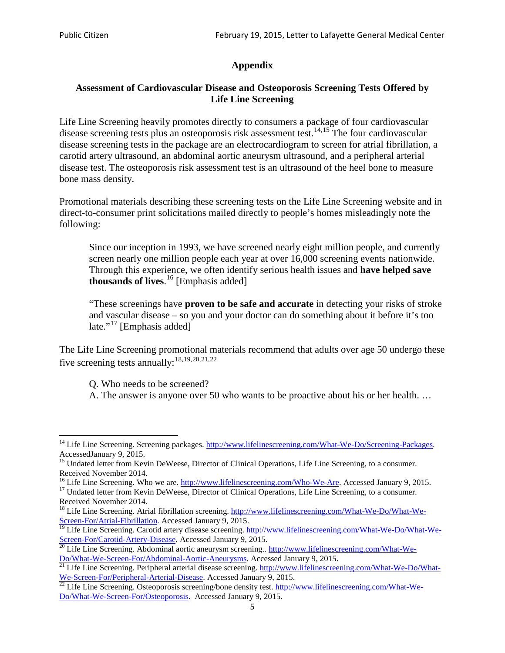# **Appendix**

## **Assessment of Cardiovascular Disease and Osteoporosis Screening Tests Offered by Life Line Screening**

Life Line Screening heavily promotes directly to consumers a package of four cardiovascular disease screening tests plus an osteoporosis risk assessment test.<sup>[14](#page-4-0),[15](#page-4-1)</sup> The four cardiovascular disease screening tests in the package are an electrocardiogram to screen for atrial fibrillation, a carotid artery ultrasound, an abdominal aortic aneurysm ultrasound, and a peripheral arterial disease test. The osteoporosis risk assessment test is an ultrasound of the heel bone to measure bone mass density.

Promotional materials describing these screening tests on the Life Line Screening website and in direct-to-consumer print solicitations mailed directly to people's homes misleadingly note the following:

Since our inception in 1993, we have screened nearly eight million people, and currently screen nearly one million people each year at over 16,000 screening events nationwide. Through this experience, we often identify serious health issues and **have helped save thousands of lives**. [16](#page-4-2) [Emphasis added]

"These screenings have **proven to be safe and accurate** in detecting your risks of stroke and vascular disease – so you and your doctor can do something about it before it's too late."<sup>[17](#page-4-3)</sup> [Emphasis added]

The Life Line Screening promotional materials recommend that adults over age 50 undergo these five screening tests annually:<sup>[18](#page-4-4),[19,](#page-4-5)[20,](#page-4-6)[21](#page-4-7),[22](#page-4-8)</sup>

Q. Who needs to be screened?

A. The answer is anyone over 50 who wants to be proactive about his or her health. …

Received November 2014.<br><sup>16</sup> Life Line Screening. Who we are. http://www.lifelinescreening.com/Who-We-Are. Accessed January 9, 2015.

<span id="page-4-3"></span><span id="page-4-2"></span><sup>17</sup> Undated letter from Kevin DeWeese, Director of Clinical Operations, Life Line Screening, to a consumer. Received November 2014.

<span id="page-4-0"></span><sup>&</sup>lt;sup>14</sup> Life Line Screening. Screening packages. [http://www.lifelinescreening.com/What-We-Do/Screening-Packages.](http://www.lifelinescreening.com/What-We-Do/Screening-Packages) AccessedJanuary 9, 2015.

<span id="page-4-1"></span><sup>&</sup>lt;sup>15</sup> Undated letter from Kevin DeWeese, Director of Clinical Operations, Life Line Screening, to a consumer.

<span id="page-4-4"></span><sup>&</sup>lt;sup>18</sup> Life Line Screening. Atrial fibrillation screening. [http://www.lifelinescreening.com/What-We-Do/What-We-](http://www.lifelinescreening.com/What-We-Do/What-We-Screen-For/Atrial-Fibrillation)[Screen-For/Atrial-Fibrillation.](http://www.lifelinescreening.com/What-We-Do/What-We-Screen-For/Atrial-Fibrillation) Accessed January 9, 2015.

<sup>&</sup>lt;sup>19</sup> Life Line Screening. Carotid artery disease screening. [http://www.lifelinescreening.com/What-We-Do/What-We-](http://www.lifelinescreening.com/What-We-Do/What-We-Screen-For/Carotid-Artery-Disease)

<span id="page-4-6"></span><span id="page-4-5"></span>[Screen-For/Carotid-Artery-Disease.](http://www.lifelinescreening.com/What-We-Do/What-We-Screen-For/Carotid-Artery-Disease) Accessed January 9, 2015.<br><sup>20</sup> Life Line Screening. Abdominal aortic aneurysm screening.. http://www.lifelinescreening.com/What-We-Do/What-We-Do/What-We-Screen-For/Abdominal-Aortic-Aneury

<span id="page-4-7"></span><sup>&</sup>lt;sup>21</sup> Life Line Screening. Peripheral arterial disease screening. [http://www.lifelinescreening.com/What-We-Do/What-](http://www.lifelinescreening.com/What-We-Do/What-We-Screen-For/Peripheral-Arterial-Disease)

<span id="page-4-8"></span>[We-Screen-For/Peripheral-Arterial-Disease.](http://www.lifelinescreening.com/What-We-Do/What-We-Screen-For/Peripheral-Arterial-Disease) Accessed January 9, 2015.<br><sup>22</sup> Life Line Screening. Osteoporosis screening/bone density test. [http://www.lifelinescreening.com/What-We-](http://www.lifelinescreening.com/What-We-Do/What-We-Screen-For/Osteoporosis)[Do/What-We-Screen-For/Osteoporosis.](http://www.lifelinescreening.com/What-We-Do/What-We-Screen-For/Osteoporosis) Accessed January 9, 2015.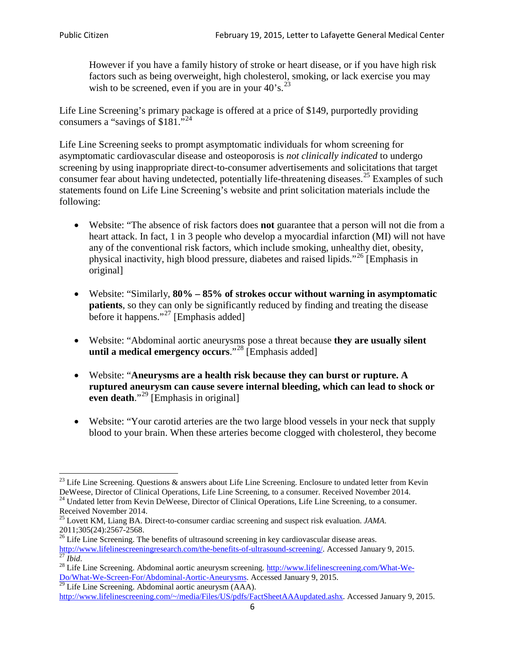However if you have a family history of stroke or heart disease, or if you have high risk factors such as being overweight, high cholesterol, smoking, or lack exercise you may wish to be screened, even if you are in your  $40^\circ$ s.<sup>[23](#page-5-0)</sup>

Life Line Screening's primary package is offered at a price of \$149, purportedly providing consumers a "savings of \$181."<sup>[24](#page-5-1)</sup>

Life Line Screening seeks to prompt asymptomatic individuals for whom screening for asymptomatic cardiovascular disease and osteoporosis is *not clinically indicated* to undergo screening by using inappropriate direct-to-consumer advertisements and solicitations that target consumer fear about having undetected, potentially life-threatening diseases.<sup>[25](#page-5-2)</sup> Examples of such statements found on Life Line Screening's website and print solicitation materials include the following:

- Website: "The absence of risk factors does **not** guarantee that a person will not die from a heart attack. In fact, 1 in 3 people who develop a myocardial infarction (MI) will not have any of the conventional risk factors, which include smoking, unhealthy diet, obesity, physical inactivity, high blood pressure, diabetes and raised lipids."[26](#page-5-3) [Emphasis in original]
- Website: "Similarly, **80% – 85% of strokes occur without warning in asymptomatic patients**, so they can only be significantly reduced by finding and treating the disease before it happens."<sup>[27](#page-5-4)</sup> [Emphasis added]
- Website: "Abdominal aortic aneurysms pose a threat because **they are usually silent until a medical emergency occurs**."[28](#page-5-5) [Emphasis added]
- Website: "**Aneurysms are a health risk because they can burst or rupture. A ruptured aneurysm can cause severe internal bleeding, which can lead to shock or even death.**"<sup>[29](#page-5-6)</sup> [Emphasis in original]
- Website: "Your carotid arteries are the two large blood vessels in your neck that supply blood to your brain. When these arteries become clogged with cholesterol, they become

<span id="page-5-0"></span><sup>&</sup>lt;sup>23</sup> Life Line Screening. Questions  $\&$  answers about Life Line Screening. Enclosure to undated letter from Kevin DeWeese, Director of Clinical Operations, Life Line Screening, to a consumer. Received November 2014.

<span id="page-5-1"></span><sup>&</sup>lt;sup>24</sup> Undated letter from Kevin DeWeese, Director of Clinical Operations, Life Line Screening, to a consumer. Received November 2014.

<span id="page-5-2"></span><sup>25</sup> Lovett KM, Liang BA. Direct-to-consumer cardiac screening and suspect risk evaluation. *JAMA*.  $2011;305(24):2567-2568$ .<br><sup>26</sup> Life Line Screening. The benefits of ultrasound screening in key cardiovascular disease areas.

<span id="page-5-3"></span>[http://www.lifelinescreeningresearch.com/the-benefits-of-ultrasound-screening/.](http://www.lifelinescreeningresearch.com/the-benefits-of-ultrasound-screening/) Accessed January 9, 2015.<br><sup>28</sup> Life Line Screening. Abdominal aortic aneurysm screening. http://www.lifelinescreening.com/What-We-<sup>28</sup>

<span id="page-5-5"></span><span id="page-5-4"></span>[Do/What-We-Screen-For/Abdominal-Aortic-Aneurysms.](http://www.lifelinescreening.com/What-We-Do/What-We-Screen-For/Abdominal-Aortic-Aneurysms) Accessed January 9, 2015. <sup>29</sup> Life Line Screening. Abdominal aortic aneurysm (AAA).

<span id="page-5-6"></span>[http://www.lifelinescreening.com/~/media/Files/US/pdfs/FactSheetAAAupdated.ashx.](http://www.lifelinescreening.com/~/media/Files/US/pdfs/FactSheetAAAupdated.ashx) Accessed January 9, 2015.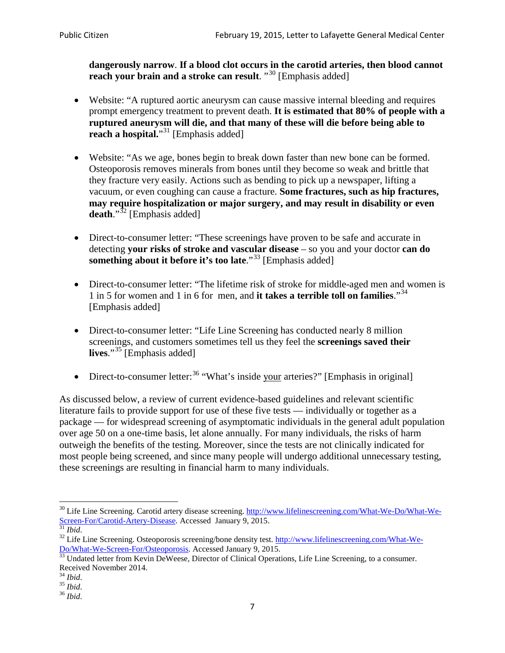**dangerously narrow**. **If a blood clot occurs in the carotid arteries, then blood cannot reach your brain and a stroke can result**. "<sup>[30](#page-6-0)</sup> [Emphasis added]

- Website: "A ruptured aortic aneurysm can cause massive internal bleeding and requires prompt emergency treatment to prevent death. **It is estimated that 80% of people with a ruptured aneurysm will die, and that many of these will die before being able to reach a hospital.**"<sup>[31](#page-6-1)</sup> [Emphasis added]
- Website: "As we age, bones begin to break down faster than new bone can be formed. Osteoporosis removes minerals from bones until they become so weak and brittle that they fracture very easily. Actions such as bending to pick up a newspaper, lifting a vacuum, or even coughing can cause a fracture. **Some fractures, such as hip fractures, may require hospitalization or major surgery, and may result in disability or even**  death."<sup>[32](#page-6-2)</sup> [Emphasis added]
- Direct-to-consumer letter: "These screenings have proven to be safe and accurate in detecting **your risks of stroke and vascular disease** – so you and your doctor **can do something about it before it's too late.**"<sup>[33](#page-6-3)</sup> [Emphasis added]
- Direct-to-consumer letter: "The lifetime risk of stroke for middle-aged men and women is 1 in 5 for women and 1 in 6 for men, and **it takes a terrible toll on families**."[34](#page-6-4) [Emphasis added]
- Direct-to-consumer letter: "Life Line Screening has conducted nearly 8 million screenings, and customers sometimes tell us they feel the **screenings saved their lives**."[35](#page-6-5) [Emphasis added]
- Direct-to-consumer letter:  $36$  "What's inside your arteries?" [Emphasis in original]

As discussed below, a review of current evidence-based guidelines and relevant scientific literature fails to provide support for use of these five tests — individually or together as a package — for widespread screening of asymptomatic individuals in the general adult population over age 50 on a one-time basis, let alone annually. For many individuals, the risks of harm outweigh the benefits of the testing. Moreover, since the tests are not clinically indicated for most people being screened, and since many people will undergo additional unnecessary testing, these screenings are resulting in financial harm to many individuals.

<span id="page-6-0"></span><sup>&</sup>lt;sup>30</sup> Life Line Screening. Carotid artery disease screening. [http://www.lifelinescreening.com/What-We-Do/What-We-](http://www.lifelinescreening.com/What-We-Do/What-We-Screen-For/Carotid-Artery-Disease)[Screen-For/Carotid-Artery-Disease.](http://www.lifelinescreening.com/What-We-Do/What-We-Screen-For/Carotid-Artery-Disease) Accessed January 9, 2015.<br><sup>31</sup> *Ibid.* 32 Life Line Screening. Osteoporosis screening/bone density test. [http://www.lifelinescreening.com/What-We-](http://www.lifelinescreening.com/What-We-Do/What-We-Screen-For/Osteoporosis)

<span id="page-6-2"></span><span id="page-6-1"></span>[Do/What-We-Screen-For/Osteoporosis.](http://www.lifelinescreening.com/What-We-Do/What-We-Screen-For/Osteoporosis) Accessed January 9, 2015. <sup>33</sup> Undated letter from Kevin DeWeese, Director of Clinical Operations, Life Line Screening, to a consumer.

<span id="page-6-3"></span>Received November 2014.<br><sup>34</sup> Ibid.

<span id="page-6-4"></span>

<span id="page-6-5"></span><sup>34</sup> *Ibid*. 35 *Ibid*. 36 *Ibid*.

<span id="page-6-6"></span>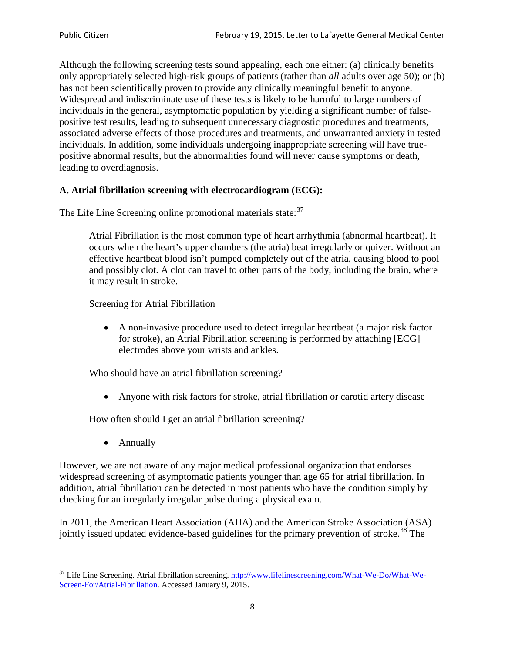Although the following screening tests sound appealing, each one either: (a) clinically benefits only appropriately selected high-risk groups of patients (rather than *all* adults over age 50); or (b) has not been scientifically proven to provide any clinically meaningful benefit to anyone. Widespread and indiscriminate use of these tests is likely to be harmful to large numbers of individuals in the general, asymptomatic population by yielding a significant number of falsepositive test results, leading to subsequent unnecessary diagnostic procedures and treatments, associated adverse effects of those procedures and treatments, and unwarranted anxiety in tested individuals. In addition, some individuals undergoing inappropriate screening will have truepositive abnormal results, but the abnormalities found will never cause symptoms or death, leading to overdiagnosis.

# **A. Atrial fibrillation screening with electrocardiogram (ECG):**

The Life Line Screening online promotional materials state:<sup>[37](#page-7-0)</sup>

Atrial Fibrillation is the most common type of heart arrhythmia (abnormal heartbeat). It occurs when the heart's upper chambers (the atria) beat irregularly or quiver. Without an effective heartbeat blood isn't pumped completely out of the atria, causing blood to pool and possibly clot. A clot can travel to other parts of the body, including the brain, where it may result in stroke.

Screening for Atrial Fibrillation

• A non-invasive procedure used to detect irregular heartbeat (a major risk factor for stroke), an Atrial Fibrillation screening is performed by attaching [ECG] electrodes above your wrists and ankles.

Who should have an atrial fibrillation screening?

• Anyone with risk factors for stroke, atrial fibrillation or carotid artery disease

How often should I get an atrial fibrillation screening?

• Annually

<span id="page-7-1"></span>However, we are not aware of any major medical professional organization that endorses widespread screening of asymptomatic patients younger than age 65 for atrial fibrillation. In addition, atrial fibrillation can be detected in most patients who have the condition simply by checking for an irregularly irregular pulse during a physical exam.

In 2011, the American Heart Association (AHA) and the American Stroke Association (ASA) jointly issued updated evidence-based guidelines for the primary prevention of stroke.<sup>[38](#page-7-1)</sup> The

<span id="page-7-0"></span><sup>&</sup>lt;sup>37</sup> Life Line Screening. Atrial fibrillation screening. [http://www.lifelinescreening.com/What-We-Do/What-We-](http://www.lifelinescreening.com/What-We-Do/What-We-Screen-For/Atrial-Fibrillation)[Screen-For/Atrial-Fibrillation.](http://www.lifelinescreening.com/What-We-Do/What-We-Screen-For/Atrial-Fibrillation) Accessed January 9, 2015.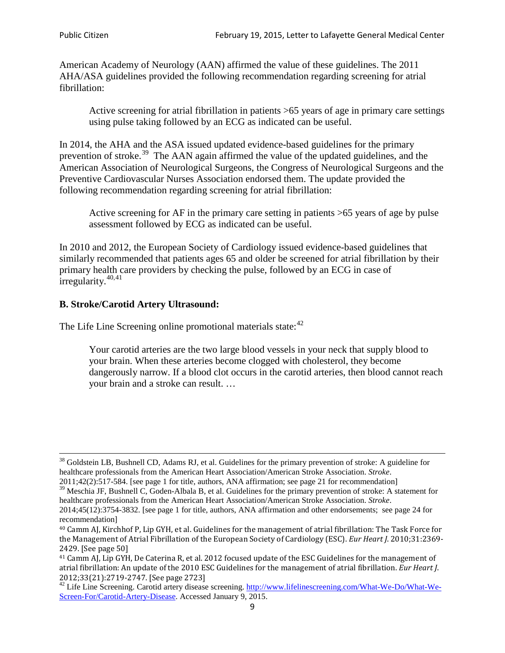American Academy of Neurology (AAN) affirmed the value of these guidelines. The 2011 AHA/ASA guidelines provided the following recommendation regarding screening for atrial fibrillation:

Active screening for atrial fibrillation in patients >65 years of age in primary care settings using pulse taking followed by an ECG as indicated can be useful.

In 2014, the AHA and the ASA issued updated evidence-based guidelines for the primary prevention of stroke.<sup>[39](#page-8-0)</sup> The AAN again affirmed the value of the updated guidelines, and the American Association of Neurological Surgeons, the Congress of Neurological Surgeons and the Preventive Cardiovascular Nurses Association endorsed them. The update provided the following recommendation regarding screening for atrial fibrillation:

Active screening for AF in the primary care setting in patients >65 years of age by pulse assessment followed by ECG as indicated can be useful.

In 2010 and 2012, the European Society of Cardiology issued evidence-based guidelines that similarly recommended that patients ages 65 and older be screened for atrial fibrillation by their primary health care providers by checking the pulse, followed by an ECG in case of irregularity. $40,41$  $40,41$ 

# **B. Stroke/Carotid Artery Ultrasound:**

The Life Line Screening online promotional materials state:<sup>[42](#page-8-3)</sup>

Your carotid arteries are the two large blood vessels in your neck that supply blood to your brain. When these arteries become clogged with cholesterol, they become dangerously narrow. If a blood clot occurs in the carotid arteries, then blood cannot reach your brain and a stroke can result. …

<sup>&</sup>lt;sup>38</sup> Goldstein LB, Bushnell CD, Adams RJ, et al. Guidelines for the primary prevention of stroke: A guideline for healthcare professionals from the American Heart Association/American Stroke Association. *Stroke*.

<sup>2011;42(2):517-584.</sup> [see page 1 for title, authors, ANA affirmation; see page 21 for recommendation]

<span id="page-8-0"></span> $\frac{2011,42(2)(317,601)}{39}$  Meschia JF, Bushnell C, Goden-Albala B, et al. Guidelines for the primary prevention of stroke: A statement for healthcare professionals from the American Heart Association/American Stroke Association. *Stroke*.

<sup>2014;45(12):3754-3832.</sup> [see page 1 for title, authors, ANA affirmation and other endorsements; see page 24 for recommendation]

<span id="page-8-1"></span><sup>40</sup> Camm AJ, Kirchhof P, Lip GYH, et al. Guidelines for the management of atrial fibrillation: The Task Force for the Management of Atrial Fibrillation of the European Society of Cardiology (ESC). *Eur Heart J*. 2010;31:2369- 2429. [See page 50]

<span id="page-8-2"></span><sup>41</sup> Camm AJ, Lip GYH, De Caterina R, et al. 2012 focused update of the ESC Guidelines for the management of atrial fibrillation: An update of the 2010 ESC Guidelines for the management of atrial fibrillation. *Eur Heart J*.

<span id="page-8-3"></span><sup>&</sup>lt;sup>2012</sup>;23(21):2719-2747. [See page 273] 42 Life Line Screening. [http://www.lifelinescreening.com/What-We-Do/What-We-](http://www.lifelinescreening.com/What-We-Do/What-We-Screen-For/Carotid-Artery-Disease)[Screen-For/Carotid-Artery-Disease.](http://www.lifelinescreening.com/What-We-Do/What-We-Screen-For/Carotid-Artery-Disease) Accessed January 9, 2015.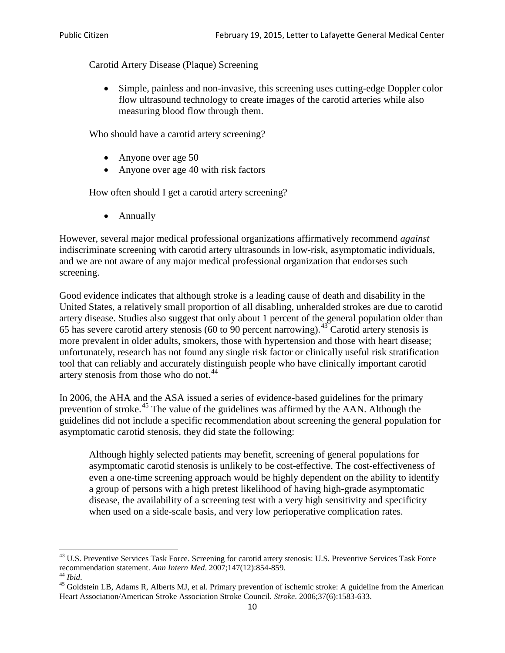Carotid Artery Disease (Plaque) Screening

• Simple, painless and non-invasive, this screening uses cutting-edge Doppler color flow ultrasound technology to create images of the carotid arteries while also measuring blood flow through them.

Who should have a carotid artery screening?

- Anyone over age 50
- Anyone over age 40 with risk factors

How often should I get a carotid artery screening?

• Annually

However, several major medical professional organizations affirmatively recommend *against* indiscriminate screening with carotid artery ultrasounds in low-risk, asymptomatic individuals, and we are not aware of any major medical professional organization that endorses such screening.

Good evidence indicates that although stroke is a leading cause of death and disability in the United States, a relatively small proportion of all disabling, unheralded strokes are due to carotid artery disease. Studies also suggest that only about 1 percent of the general population older than 65 has severe carotid artery stenosis (60 to 90 percent narrowing).<sup>[43](#page-9-0)</sup> Carotid artery stenosis is more prevalent in older adults, smokers, those with hypertension and those with heart disease; unfortunately, research has not found any single risk factor or clinically useful risk stratification tool that can reliably and accurately distinguish people who have clinically important carotid artery stenosis from those who do not.<sup>[44](#page-9-1)</sup>

In 2006, the AHA and the ASA issued a series of evidence-based guidelines for the primary prevention of stroke.[45](#page-9-2) The value of the guidelines was affirmed by the AAN. Although the guidelines did not include a specific recommendation about screening the general population for asymptomatic carotid stenosis, they did state the following:

Although highly selected patients may benefit, screening of general populations for asymptomatic carotid stenosis is unlikely to be cost-effective. The cost-effectiveness of even a one-time screening approach would be highly dependent on the ability to identify a group of persons with a high pretest likelihood of having high-grade asymptomatic disease, the availability of a screening test with a very high sensitivity and specificity when used on a side-scale basis, and very low perioperative complication rates.

<span id="page-9-0"></span> $^{43}$  U.S. Preventive Services Task Force. Screening for carotid artery stenosis: U.S. Preventive Services Task Force recommendation statement. Ann Intern Med. 2007;147(12):854-859.

<span id="page-9-2"></span>

<span id="page-9-1"></span><sup>&</sup>lt;sup>44</sup> *Ibid*. <sup>45</sup> Goldstein LB, Adams R, Alberts MJ, et al. Primary prevention of ischemic stroke: A guideline from the American <sup>45</sup> Goldstein LB, Adams R, Alberts MJ, et al. Primary prevention of ischemic stroke: A guide Heart Association/American Stroke Association Stroke Council. *Stroke*. 2006;37(6):1583-633.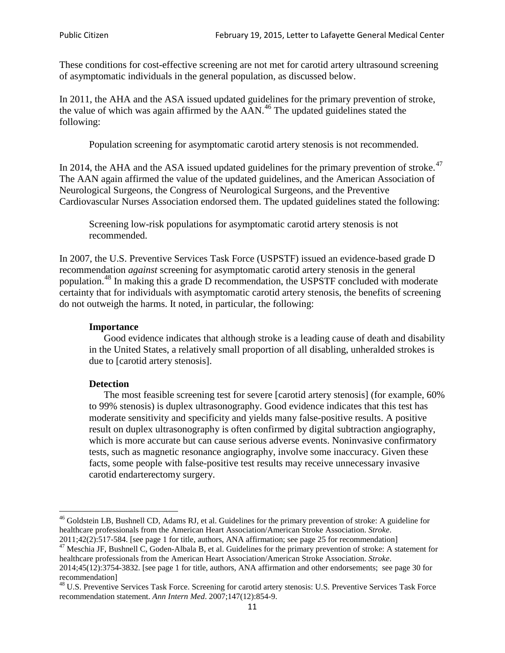These conditions for cost-effective screening are not met for carotid artery ultrasound screening of asymptomatic individuals in the general population, as discussed below.

In 2011, the AHA and the ASA issued updated guidelines for the primary prevention of stroke, the value of which was again affirmed by the  $AAN<sup>46</sup>$  $AAN<sup>46</sup>$  $AAN<sup>46</sup>$ . The updated guidelines stated the following:

Population screening for asymptomatic carotid artery stenosis is not recommended.

In 2014, the AHA and the ASA issued updated guidelines for the primary prevention of stroke. $47$ The AAN again affirmed the value of the updated guidelines, and the American Association of Neurological Surgeons, the Congress of Neurological Surgeons, and the Preventive Cardiovascular Nurses Association endorsed them. The updated guidelines stated the following:

Screening low-risk populations for asymptomatic carotid artery stenosis is not recommended.

In 2007, the U.S. Preventive Services Task Force (USPSTF) issued an evidence-based grade D recommendation *against* screening for asymptomatic carotid artery stenosis in the general population.[48](#page-10-2) In making this a grade D recommendation, the USPSTF concluded with moderate certainty that for individuals with asymptomatic carotid artery stenosis, the benefits of screening do not outweigh the harms. It noted, in particular, the following:

### **Importance**

Good evidence indicates that although stroke is a leading cause of death and disability in the United States, a relatively small proportion of all disabling, unheralded strokes is due to [carotid artery stenosis].

## **Detection**

The most feasible screening test for severe [carotid artery stenosis] (for example, 60% to 99% stenosis) is duplex ultrasonography. Good evidence indicates that this test has moderate sensitivity and specificity and yields many false-positive results. A positive result on duplex ultrasonography is often confirmed by digital subtraction angiography, which is more accurate but can cause serious adverse events. Noninvasive confirmatory tests, such as magnetic resonance angiography, involve some inaccuracy. Given these facts, some people with false-positive test results may receive unnecessary invasive carotid endarterectomy surgery.

<span id="page-10-0"></span><sup>&</sup>lt;sup>46</sup> Goldstein LB, Bushnell CD, Adams RJ, et al. Guidelines for the primary prevention of stroke: A guideline for healthcare professionals from the American Heart Association/American Stroke Association. *Stroke*.<br>2011;42(2):517-584. [see page 1 for title, authors, ANA affirmation; see page 25 for recommendation]

<span id="page-10-1"></span><sup>&</sup>lt;sup>47</sup> Meschia JF, Bushnell C, Goden-Albala B, et al. Guidelines for the primary prevention of stroke: A statement for healthcare professionals from the American Heart Association/American Stroke Association. *Stroke*. 2014;45(12):3754-3832. [see page 1 for title, authors, ANA affirmation and other endorsements; see page 30 for

recommendation]

<span id="page-10-2"></span><sup>&</sup>lt;sup>48</sup> U.S. Preventive Services Task Force. Screening for carotid artery stenosis: U.S. Preventive Services Task Force recommendation statement. *Ann Intern Med*. 2007;147(12):854-9.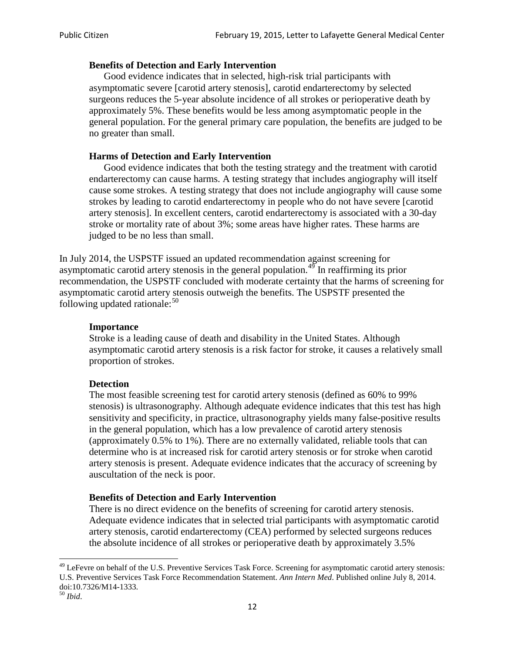#### **Benefits of Detection and Early Intervention**

Good evidence indicates that in selected, high-risk trial participants with asymptomatic severe [carotid artery stenosis], carotid endarterectomy by selected surgeons reduces the 5-year absolute incidence of all strokes or perioperative death by approximately 5%. These benefits would be less among asymptomatic people in the general population. For the general primary care population, the benefits are judged to be no greater than small.

### **Harms of Detection and Early Intervention**

Good evidence indicates that both the testing strategy and the treatment with carotid endarterectomy can cause harms. A testing strategy that includes angiography will itself cause some strokes. A testing strategy that does not include angiography will cause some strokes by leading to carotid endarterectomy in people who do not have severe [carotid artery stenosis]. In excellent centers, carotid endarterectomy is associated with a 30-day stroke or mortality rate of about 3%; some areas have higher rates. These harms are judged to be no less than small.

In July 2014, the USPSTF issued an updated recommendation against screening for asymptomatic carotid artery stenosis in the general population.<sup>[49](#page-11-0)</sup> In reaffirming its prior recommendation, the USPSTF concluded with moderate certainty that the harms of screening for asymptomatic carotid artery stenosis outweigh the benefits. The USPSTF presented the following updated rationale: $50$ 

#### **Importance**

Stroke is a leading cause of death and disability in the United States. Although asymptomatic carotid artery stenosis is a risk factor for stroke, it causes a relatively small proportion of strokes.

#### **Detection**

The most feasible screening test for carotid artery stenosis (defined as 60% to 99% stenosis) is ultrasonography. Although adequate evidence indicates that this test has high sensitivity and specificity, in practice, ultrasonography yields many false-positive results in the general population, which has a low prevalence of carotid artery stenosis (approximately 0.5% to 1%). There are no externally validated, reliable tools that can determine who is at increased risk for carotid artery stenosis or for stroke when carotid artery stenosis is present. Adequate evidence indicates that the accuracy of screening by auscultation of the neck is poor.

## **Benefits of Detection and Early Intervention**

There is no direct evidence on the benefits of screening for carotid artery stenosis. Adequate evidence indicates that in selected trial participants with asymptomatic carotid artery stenosis, carotid endarterectomy (CEA) performed by selected surgeons reduces the absolute incidence of all strokes or perioperative death by approximately 3.5%

<span id="page-11-0"></span><sup>&</sup>lt;sup>49</sup> LeFevre on behalf of the U.S. Preventive Services Task Force. Screening for asymptomatic carotid artery stenosis: U.S. Preventive Services Task Force Recommendation Statement. *Ann Intern Med*. Published online July 8, 2014. doi:10.7326/M14-1333. <sup>50</sup> *Ibid*.

<span id="page-11-1"></span>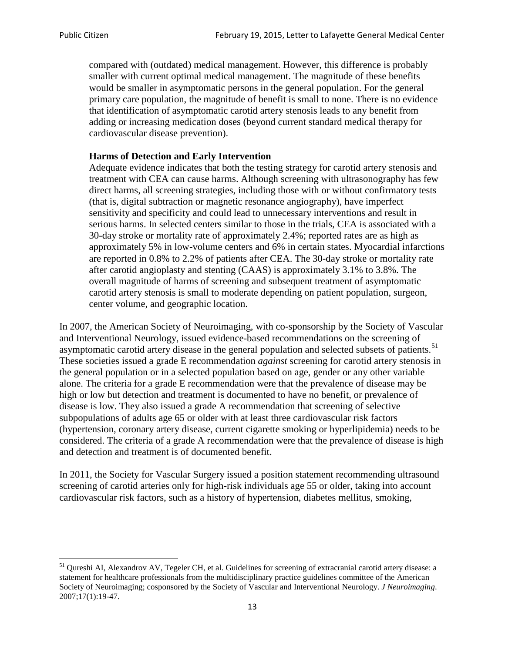compared with (outdated) medical management. However, this difference is probably smaller with current optimal medical management. The magnitude of these benefits would be smaller in asymptomatic persons in the general population. For the general primary care population, the magnitude of benefit is small to none. There is no evidence that identification of asymptomatic carotid artery stenosis leads to any benefit from adding or increasing medication doses (beyond current standard medical therapy for cardiovascular disease prevention).

### **Harms of Detection and Early Intervention**

Adequate evidence indicates that both the testing strategy for carotid artery stenosis and treatment with CEA can cause harms. Although screening with ultrasonography has few direct harms, all screening strategies, including those with or without confirmatory tests (that is, digital subtraction or magnetic resonance angiography), have imperfect sensitivity and specificity and could lead to unnecessary interventions and result in serious harms. In selected centers similar to those in the trials, CEA is associated with a 30-day stroke or mortality rate of approximately 2.4%; reported rates are as high as approximately 5% in low-volume centers and 6% in certain states. Myocardial infarctions are reported in 0.8% to 2.2% of patients after CEA. The 30-day stroke or mortality rate after carotid angioplasty and stenting (CAAS) is approximately 3.1% to 3.8%. The overall magnitude of harms of screening and subsequent treatment of asymptomatic carotid artery stenosis is small to moderate depending on patient population, surgeon, center volume, and geographic location.

In 2007, the American Society of Neuroimaging, with co-sponsorship by the Society of Vascular and Interventional Neurology, issued evidence-based recommendations on the screening of asymptomatic carotid artery disease in the general population and selected subsets of patients.<sup>[51](#page-12-0)</sup> These societies issued a grade E recommendation *against* screening for carotid artery stenosis in the general population or in a selected population based on age, gender or any other variable alone. The criteria for a grade E recommendation were that the prevalence of disease may be high or low but detection and treatment is documented to have no benefit, or prevalence of disease is low. They also issued a grade A recommendation that screening of selective subpopulations of adults age 65 or older with at least three cardiovascular risk factors (hypertension, coronary artery disease, current cigarette smoking or hyperlipidemia) needs to be considered. The criteria of a grade A recommendation were that the prevalence of disease is high and detection and treatment is of documented benefit.

In 2011, the Society for Vascular Surgery issued a position statement recommending ultrasound screening of carotid arteries only for high-risk individuals age 55 or older, taking into account cardiovascular risk factors, such as a history of hypertension, diabetes mellitus, smoking,

<span id="page-12-0"></span><sup>&</sup>lt;sup>51</sup> Qureshi AI, Alexandrov AV, Tegeler CH, et al. Guidelines for screening of extracranial carotid artery disease: a statement for healthcare professionals from the multidisciplinary practice guidelines committee of the American Society of Neuroimaging; cosponsored by the Society of Vascular and Interventional Neurology. *J Neuroimaging*. 2007;17(1):19-47.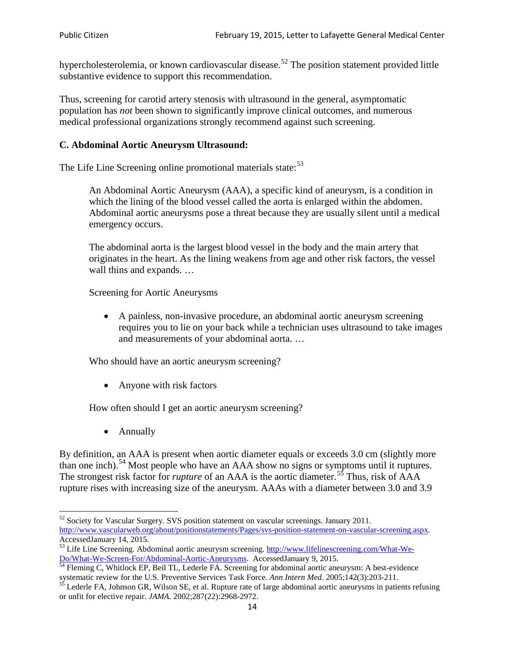hypercholesterolemia, or known cardiovascular disease.<sup>[52](#page-13-0)</sup> The position statement provided little substantive evidence to support this recommendation.

Thus, screening for carotid artery stenosis with ultrasound in the general, asymptomatic population has *not* been shown to significantly improve clinical outcomes, and numerous medical professional organizations strongly recommend against such screening.

## **C. Abdominal Aortic Aneurysm Ultrasound:**

The Life Line Screening online promotional materials state:<sup>[53](#page-13-1)</sup>

An Abdominal Aortic Aneurysm (AAA), a specific kind of aneurysm, is a condition in which the lining of the blood vessel called the aorta is enlarged within the abdomen. Abdominal aortic aneurysms pose a threat because they are usually silent until a medical emergency occurs.

The abdominal aorta is the largest blood vessel in the body and the main artery that originates in the heart. As the lining weakens from age and other risk factors, the vessel wall thins and expands. …

Screening for Aortic Aneurysms

• A painless, non-invasive procedure, an abdominal aortic aneurysm screening requires you to lie on your back while a technician uses ultrasound to take images and measurements of your abdominal aorta. …

Who should have an aortic aneurysm screening?

• Anyone with risk factors

How often should I get an aortic aneurysm screening?

• Annually

By definition, an AAA is present when aortic diameter equals or exceeds 3.0 cm (slightly more than one inch).<sup>[54](#page-13-2)</sup> Most people who have an AAA show no signs or symptoms until it ruptures. The strongest risk factor for *rupture* of an AAA is the aortic diameter.<sup>[55](#page-13-3)</sup> Thus, risk of AAA rupture rises with increasing size of the aneurysm. AAAs with a diameter between 3.0 and 3.9

<span id="page-13-0"></span><sup>&</sup>lt;sup>52</sup> Society for Vascular Surgery. SVS position statement on vascular screenings. January 2011. http://www.vascularweb.org/about/positionstatements/Pages/svs-position-statement-on-vascular-screening.aspx.<br>Accessed January 14, 2015.

<span id="page-13-1"></span>Accessed January 14, 2015.<br>
Sa Life Line Screening. Abdominal aortic aneurysm screening. http://www.lifelinescreening.com/What-We-<br>
Do/What-We-Screen-For/Abdominal-Aortic-Aneurysms. Accessed January 9, 2015.

<span id="page-13-2"></span> $\frac{54}{9}$  Fleming C, Whitlock EP, Beil TL, Lederle FA. Screening for abdominal aortic aneurysm: A best-evidence systematic review for the U.S. Preventive Services Task Force. *Ann Intern Med.* 2005;142(3):203-211.<br><sup>55</sup> Lederle FA, Johnson GR, Wilson SE, et al. Rupture rate of large abdominal aortic aneurysms in patients refusing

<span id="page-13-3"></span>or unfit for elective repair. *JAMA*. 2002;287(22):2968-2972.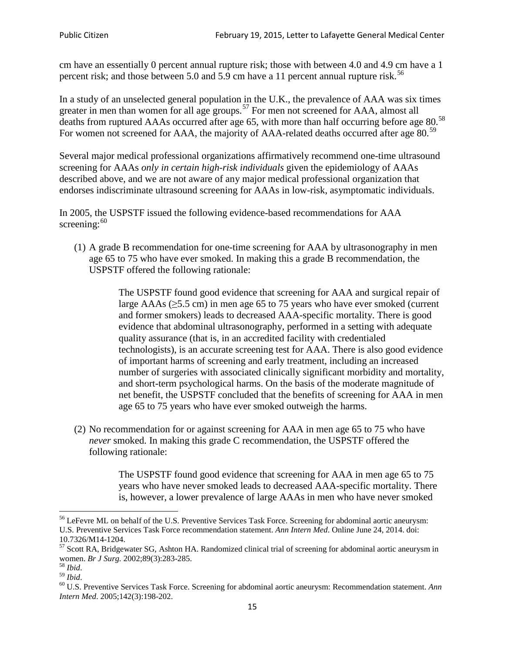cm have an essentially 0 percent annual rupture risk; those with between 4.0 and 4.9 cm have a 1 percent risk; and those between 5.0 and 5.9 cm have a 11 percent annual rupture risk.<sup>[56](#page-14-0)</sup>

In a study of an unselected general population in the U.K., the prevalence of AAA was six times greater in men than women for all age groups.<sup>[57](#page-14-1)</sup> For men not screened for  $AAA$ , almost all deaths from ruptured AAAs occurred after age 65, with more than half occurring before age 80.<sup>[58](#page-14-2)</sup> For women not screened for AAA, the majority of AAA-related deaths occurred after age 80.<sup>[59](#page-14-3)</sup>

Several major medical professional organizations affirmatively recommend one-time ultrasound screening for AAAs *only in certain high-risk individuals* given the epidemiology of AAAs described above, and we are not aware of any major medical professional organization that endorses indiscriminate ultrasound screening for AAAs in low-risk, asymptomatic individuals.

In 2005, the USPSTF issued the following evidence-based recommendations for AAA screening: $60$ 

(1) A grade B recommendation for one-time screening for AAA by ultrasonography in men age 65 to 75 who have ever smoked. In making this a grade [B recommendation,](http://www.uspreventiveservicestaskforce.org/uspstf/gradespre.htm#brec) the USPSTF offered the following rationale:

> The USPSTF found good evidence that screening for AAA and surgical repair of large AAAs ( $\geq$ 5.5 cm) in men age 65 to 75 years who have ever smoked (current and former smokers) leads to decreased AAA-specific mortality. There is good evidence that abdominal ultrasonography, performed in a setting with adequate quality assurance (that is, in an accredited facility with credentialed technologists), is an accurate screening test for AAA. There is also good evidence of important harms of screening and early treatment, including an increased number of surgeries with associated clinically significant morbidity and mortality, and short-term psychological harms. On the basis of the moderate magnitude of net benefit, the USPSTF concluded that the benefits of screening for AAA in men age 65 to 75 years who have ever smoked outweigh the harms.

(2) No recommendation for or against screening for AAA in men age 65 to 75 who have *never* smoked. In making this grade C recommendation, the USPSTF offered the following rationale:

> The USPSTF found good evidence that screening for AAA in men age 65 to 75 years who have never smoked leads to decreased AAA-specific mortality. There is, however, a lower prevalence of large AAAs in men who have never smoked

<span id="page-14-0"></span><sup>&</sup>lt;sup>56</sup> LeFevre ML on behalf of the U.S. Preventive Services Task Force. Screening for abdominal aortic aneurysm: U.S. Preventive Services Task Force recommendation statement. *Ann Intern Med*. Online June 24, 2014. doi:

<span id="page-14-1"></span><sup>10.7326/</sup>M14-1204.<br> $57$  Scott RA, Bridgewater SG, Ashton HA. Randomized clinical trial of screening for abdominal aortic aneurysm in women. *Br J Surg.* 2002;89(3):283-285.

<span id="page-14-4"></span><span id="page-14-3"></span>

<span id="page-14-2"></span><sup>&</sup>lt;sup>58</sup> *Ibid.*<br><sup>59</sup> *Ibid.* 2002;<br><sup>60</sup> U.S. Preventive Services Task Force. Screening for abdominal aortic aneurysm: Recommendation statement. *Ann Intern Med*. 2005;142(3):198-202.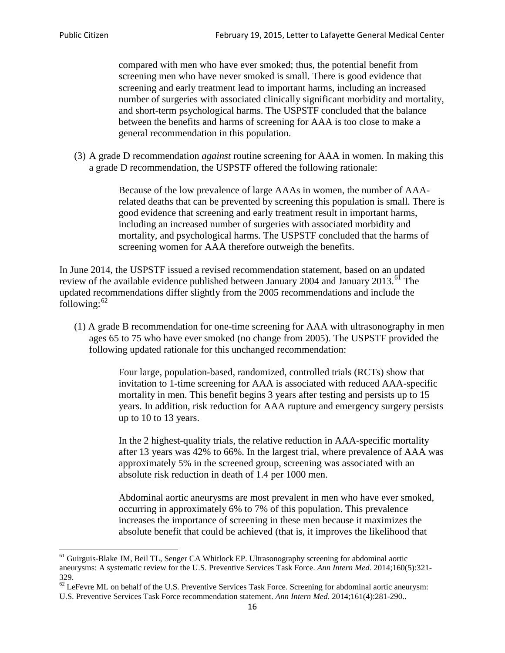compared with men who have ever smoked; thus, the potential benefit from screening men who have never smoked is small. There is good evidence that screening and early treatment lead to important harms, including an increased number of surgeries with associated clinically significant morbidity and mortality, and short-term psychological harms. The USPSTF concluded that the balance between the benefits and harms of screening for AAA is too close to make a general recommendation in this population.

(3) A grade D recommendation *against* routine screening for AAA in women. In making this a grade D recommendation, the USPSTF offered the following rationale:

> Because of the low prevalence of large AAAs in women, the number of AAArelated deaths that can be prevented by screening this population is small. There is good evidence that screening and early treatment result in important harms, including an increased number of surgeries with associated morbidity and mortality, and psychological harms. The USPSTF concluded that the harms of screening women for AAA therefore outweigh the benefits.

In June 2014, the USPSTF issued a revised recommendation statement, based on an updated review of the available evidence published between January 2004 and January 2013.<sup>[61](#page-15-0)</sup> The updated recommendations differ slightly from the 2005 recommendations and include the following: $62$ 

(1) A grade B recommendation for one-time screening for AAA with ultrasonography in men ages 65 to 75 who have ever smoked (no change from 2005). The USPSTF provided the following updated rationale for this unchanged recommendation:

> Four large, population-based, randomized, controlled trials (RCTs) show that invitation to 1-time screening for AAA is associated with reduced AAA-specific mortality in men. This benefit begins 3 years after testing and persists up to 15 years. In addition, risk reduction for AAA rupture and emergency surgery persists up to 10 to 13 years.

> In the 2 highest-quality trials, the relative reduction in AAA-specific mortality after 13 years was 42% to 66%. In the largest trial, where prevalence of AAA was approximately 5% in the screened group, screening was associated with an absolute risk reduction in death of 1.4 per 1000 men.

Abdominal aortic aneurysms are most prevalent in men who have ever smoked, occurring in approximately 6% to 7% of this population. This prevalence increases the importance of screening in these men because it maximizes the absolute benefit that could be achieved (that is, it improves the likelihood that

<span id="page-15-0"></span><sup>61</sup> Guirguis-Blake JM, Beil TL, Senger CA Whitlock EP. Ultrasonography screening for abdominal aortic aneurysms: A systematic review for the U.S. Preventive Services Task Force. *Ann Intern Med*. 2014;160(5):321- 329.

<span id="page-15-1"></span> $62$  LeFevre ML on behalf of the U.S. Preventive Services Task Force. Screening for abdominal aortic aneurysm: U.S. Preventive Services Task Force recommendation statement. *Ann Intern Med*. 2014;161(4):281-290..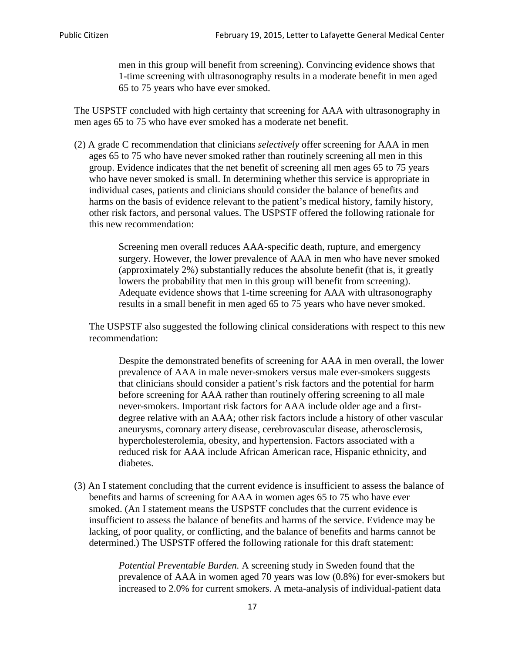men in this group will benefit from screening). Convincing evidence shows that 1-time screening with ultrasonography results in a moderate benefit in men aged 65 to 75 years who have ever smoked.

The USPSTF concluded with high certainty that screening for AAA with ultrasonography in men ages 65 to 75 who have ever smoked has a moderate net benefit.

(2) A grade C recommendation that clinicians *selectively* offer screening for AAA in men ages 65 to 75 who have never smoked rather than routinely screening all men in this group. Evidence indicates that the net benefit of screening all men ages 65 to 75 years who have never smoked is small. In determining whether this service is appropriate in individual cases, patients and clinicians should consider the balance of benefits and harms on the basis of evidence relevant to the patient's medical history, family history, other risk factors, and personal values. The USPSTF offered the following rationale for this new recommendation:

> Screening men overall reduces AAA-specific death, rupture, and emergency surgery. However, the lower prevalence of AAA in men who have never smoked (approximately 2%) substantially reduces the absolute benefit (that is, it greatly lowers the probability that men in this group will benefit from screening). Adequate evidence shows that 1-time screening for AAA with ultrasonography results in a small benefit in men aged 65 to 75 years who have never smoked.

The USPSTF also suggested the following clinical considerations with respect to this new recommendation:

Despite the demonstrated benefits of screening for AAA in men overall, the lower prevalence of AAA in male never-smokers versus male ever-smokers suggests that clinicians should consider a patient's risk factors and the potential for harm before screening for AAA rather than routinely offering screening to all male never-smokers. Important risk factors for AAA include older age and a firstdegree relative with an AAA; other risk factors include a history of other vascular aneurysms, coronary artery disease, cerebrovascular disease, atherosclerosis, hypercholesterolemia, obesity, and hypertension. Factors associated with a reduced risk for AAA include African American race, Hispanic ethnicity, and diabetes.

(3) An I statement concluding that the current evidence is insufficient to assess the balance of benefits and harms of screening for AAA in women ages 65 to 75 who have ever smoked. (An I statement means the USPSTF concludes that the current evidence is insufficient to assess the balance of benefits and harms of the service. Evidence may be lacking, of poor quality, or conflicting, and the balance of benefits and harms cannot be determined.) The USPSTF offered the following rationale for this draft statement:

> *Potential Preventable Burden.* A screening study in Sweden found that the prevalence of AAA in women aged 70 years was low (0.8%) for ever-smokers but increased to 2.0% for current smokers. A meta-analysis of individual-patient data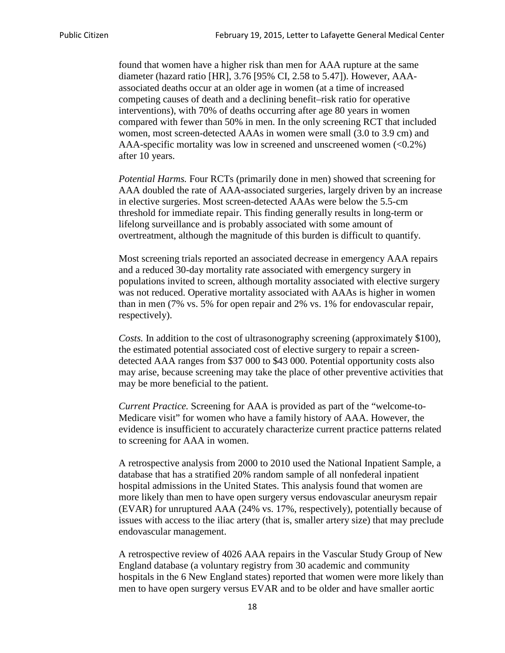found that women have a higher risk than men for AAA rupture at the same diameter (hazard ratio [HR], 3.76 [95% CI, 2.58 to 5.47]). However, AAAassociated deaths occur at an older age in women (at a time of increased competing causes of death and a declining benefit–risk ratio for operative interventions), with 70% of deaths occurring after age 80 years in women compared with fewer than 50% in men. In the only screening RCT that included women, most screen-detected AAAs in women were small (3.0 to 3.9 cm) and AAA-specific mortality was low in screened and unscreened women (<0.2%) after 10 years.

*Potential Harms.* Four RCTs (primarily done in men) showed that screening for AAA doubled the rate of AAA-associated surgeries, largely driven by an increase in elective surgeries. Most screen-detected AAAs were below the 5.5-cm threshold for immediate repair. This finding generally results in long-term or lifelong surveillance and is probably associated with some amount of overtreatment, although the magnitude of this burden is difficult to quantify.

Most screening trials reported an associated decrease in emergency AAA repairs and a reduced 30-day mortality rate associated with emergency surgery in populations invited to screen, although mortality associated with elective surgery was not reduced. Operative mortality associated with AAAs is higher in women than in men (7% vs. 5% for open repair and 2% vs. 1% for endovascular repair, respectively).

*Costs.* In addition to the cost of ultrasonography screening (approximately \$100), the estimated potential associated cost of elective surgery to repair a screendetected AAA ranges from \$37 000 to \$43 000. Potential opportunity costs also may arise, because screening may take the place of other preventive activities that may be more beneficial to the patient.

*Current Practice.* Screening for AAA is provided as part of the "welcome-to-Medicare visit" for women who have a family history of AAA. However, the evidence is insufficient to accurately characterize current practice patterns related to screening for AAA in women.

A retrospective analysis from 2000 to 2010 used the National Inpatient Sample, a database that has a stratified 20% random sample of all nonfederal inpatient hospital admissions in the United States. This analysis found that women are more likely than men to have open surgery versus endovascular aneurysm repair (EVAR) for unruptured AAA (24% vs. 17%, respectively), potentially because of issues with access to the iliac artery (that is, smaller artery size) that may preclude endovascular management.

A retrospective review of 4026 AAA repairs in the Vascular Study Group of New England database (a voluntary registry from 30 academic and community hospitals in the 6 New England states) reported that women were more likely than men to have open surgery versus EVAR and to be older and have smaller aortic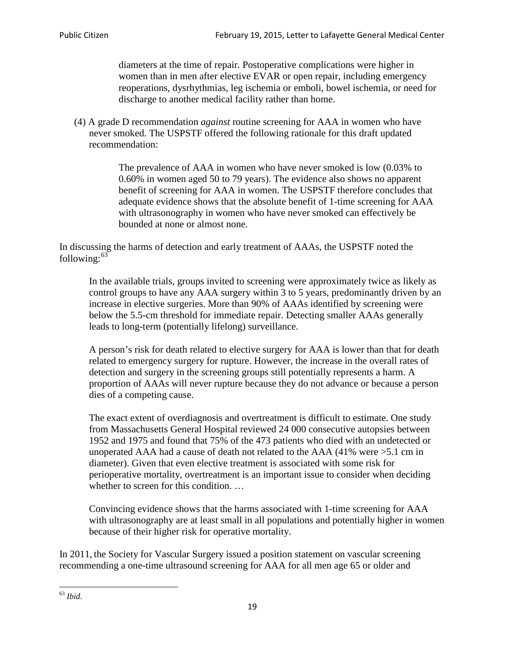diameters at the time of repair. Postoperative complications were higher in women than in men after elective EVAR or open repair, including emergency reoperations, dysrhythmias, leg ischemia or emboli, bowel ischemia, or need for discharge to another medical facility rather than home.

(4) A grade D recommendation *against* routine screening for AAA in women who have never smoked. The USPSTF offered the following rationale for this draft updated recommendation:

> The prevalence of AAA in women who have never smoked is low (0.03% to 0.60% in women aged 50 to 79 years). The evidence also shows no apparent benefit of screening for AAA in women. The USPSTF therefore concludes that adequate evidence shows that the absolute benefit of 1-time screening for AAA with ultrasonography in women who have never smoked can effectively be bounded at none or almost none.

In discussing the harms of detection and early treatment of AAAs, the USPSTF noted the following: $63$ 

In the available trials, groups invited to screening were approximately twice as likely as control groups to have any AAA surgery within 3 to 5 years, predominantly driven by an increase in elective surgeries. More than 90% of AAAs identified by screening were below the 5.5-cm threshold for immediate repair. Detecting smaller AAAs generally leads to long-term (potentially lifelong) surveillance.

A person's risk for death related to elective surgery for AAA is lower than that for death related to emergency surgery for rupture. However, the increase in the overall rates of detection and surgery in the screening groups still potentially represents a harm. A proportion of AAAs will never rupture because they do not advance or because a person dies of a competing cause.

The exact extent of overdiagnosis and overtreatment is difficult to estimate. One study from Massachusetts General Hospital reviewed 24 000 consecutive autopsies between 1952 and 1975 and found that 75% of the 473 patients who died with an undetected or unoperated AAA had a cause of death not related to the AAA (41% were >5.1 cm in diameter). Given that even elective treatment is associated with some risk for perioperative mortality, overtreatment is an important issue to consider when deciding whether to screen for this condition....

Convincing evidence shows that the harms associated with 1-time screening for AAA with ultrasonography are at least small in all populations and potentially higher in women because of their higher risk for operative mortality.

In 2011, the Society for Vascular Surgery issued a position statement on vascular screening recommending a one-time ultrasound screening for AAA for all men age 65 or older and

<span id="page-18-0"></span><sup>63</sup> *Ibid*.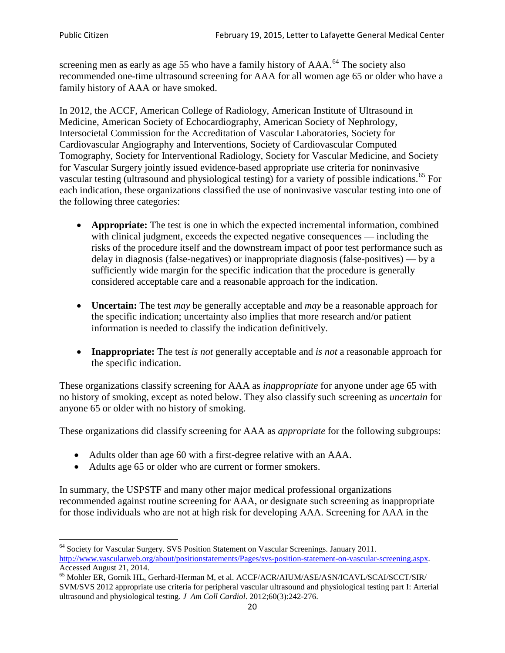screening men as early as age 55 who have a family history of AAA.<sup>[64](#page-19-0)</sup> The society also recommended one-time ultrasound screening for AAA for all women age 65 or older who have a family history of AAA or have smoked.

In 2012, the ACCF, American College of Radiology, American Institute of Ultrasound in Medicine, American Society of Echocardiography, American Society of Nephrology, Intersocietal Commission for the Accreditation of Vascular Laboratories, Society for Cardiovascular Angiography and Interventions, Society of Cardiovascular Computed Tomography, Society for Interventional Radiology, Society for Vascular Medicine, and Society for Vascular Surgery jointly issued evidence-based appropriate use criteria for noninvasive vascular testing (ultrasound and physiological testing) for a variety of possible indications.<sup>[65](#page-19-1)</sup> For each indication, these organizations classified the use of noninvasive vascular testing into one of the following three categories:

- **Appropriate:** The test is one in which the expected incremental information, combined with clinical judgment, exceeds the expected negative consequences — including the risks of the procedure itself and the downstream impact of poor test performance such as delay in diagnosis (false-negatives) or inappropriate diagnosis (false-positives) — by a sufficiently wide margin for the specific indication that the procedure is generally considered acceptable care and a reasonable approach for the indication.
- **Uncertain:** The test *may* be generally acceptable and *may* be a reasonable approach for the specific indication; uncertainty also implies that more research and/or patient information is needed to classify the indication definitively.
- **Inappropriate:** The test *is not* generally acceptable and *is not* a reasonable approach for the specific indication.

These organizations classify screening for AAA as *inappropriate* for anyone under age 65 with no history of smoking, except as noted below. They also classify such screening as *uncertain* for anyone 65 or older with no history of smoking.

These organizations did classify screening for AAA as *appropriate* for the following subgroups:

- Adults older than age 60 with a first-degree relative with an AAA.
- Adults age 65 or older who are current or former smokers.

In summary, the USPSTF and many other major medical professional organizations recommended against routine screening for AAA, or designate such screening as inappropriate for those individuals who are not at high risk for developing AAA. Screening for AAA in the

<span id="page-19-0"></span><sup>64</sup> Society for Vascular Surgery. SVS Position Statement on Vascular Screenings. January 2011. [http://www.vascularweb.org/about/positionstatements/Pages/svs-position-statement-on-vascular-screening.aspx.](http://www.vascularweb.org/about/positionstatements/Pages/svs-position-statement-on-vascular-screening.aspx) 

<span id="page-19-1"></span>Accessed August 21, 2014.<br><sup>65</sup> Mohler ER, Gornik HL, Gerhard-Herman M, et al. ACCF/ACR/AIUM/ASE/ASN/ICAVL/SCAI/SCCT/SIR/ SVM/SVS 2012 appropriate use criteria for peripheral vascular ultrasound and physiological testing part I: Arterial ultrasound and physiological testing*. J Am Coll Cardiol*. 2012;60(3):242-276.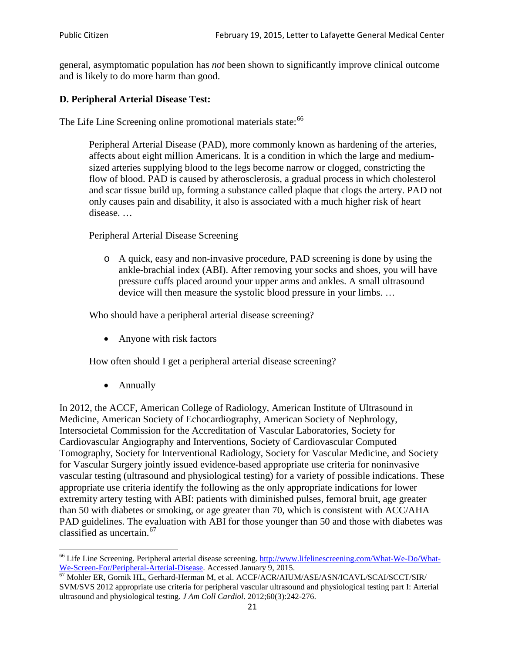general, asymptomatic population has *not* been shown to significantly improve clinical outcome and is likely to do more harm than good.

## **D. Peripheral Arterial Disease Test:**

The Life Line Screening online promotional materials state:<sup>[66](#page-20-0)</sup>

Peripheral Arterial Disease (PAD), more commonly known as hardening of the arteries, affects about eight million Americans. It is a condition in which the large and mediumsized arteries supplying blood to the legs become narrow or clogged, constricting the flow of blood. PAD is caused by atherosclerosis, a gradual process in which cholesterol and scar tissue build up, forming a substance called plaque that clogs the artery. PAD not only causes pain and disability, it also is associated with a much higher risk of heart disease. …

Peripheral Arterial Disease Screening

o A quick, easy and non-invasive procedure, PAD screening is done by using the ankle-brachial index (ABI). After removing your socks and shoes, you will have pressure cuffs placed around your upper arms and ankles. A small ultrasound device will then measure the systolic blood pressure in your limbs. …

Who should have a peripheral arterial disease screening?

• Anyone with risk factors

How often should I get a peripheral arterial disease screening?

• Annually

In 2012, the ACCF, American College of Radiology, American Institute of Ultrasound in Medicine, American Society of Echocardiography, American Society of Nephrology, Intersocietal Commission for the Accreditation of Vascular Laboratories, Society for Cardiovascular Angiography and Interventions, Society of Cardiovascular Computed Tomography, Society for Interventional Radiology, Society for Vascular Medicine, and Society for Vascular Surgery jointly issued evidence-based appropriate use criteria for noninvasive vascular testing (ultrasound and physiological testing) for a variety of possible indications. These appropriate use criteria identify the following as the only appropriate indications for lower extremity artery testing with ABI: patients with diminished pulses, femoral bruit, age greater than 50 with diabetes or smoking, or age greater than 70, which is consistent with ACC/AHA PAD guidelines. The evaluation with ABI for those younger than 50 and those with diabetes was classified as uncertain.<sup>[67](#page-20-1)</sup>

<span id="page-20-0"></span><sup>&</sup>lt;sup>66</sup> Life Line Screening. Peripheral arterial disease screening. [http://www.lifelinescreening.com/What-We-Do/What-](http://www.lifelinescreening.com/What-We-Do/What-We-Screen-For/Peripheral-Arterial-Disease)

<span id="page-20-1"></span>[We-Screen-For/Peripheral-Arterial-Disease.](http://www.lifelinescreening.com/What-We-Do/What-We-Screen-For/Peripheral-Arterial-Disease) Accessed January 9, 2015.<br><sup>67</sup> Mohler ER, Gornik HL, Gerhard-Herman M, et al. ACCF/ACR/AIUM/ASE/ASN/ICAVL/SCAI/SCCT/SIR/ SVM/SVS 2012 appropriate use criteria for peripheral vascular ultrasound and physiological testing part I: Arterial ultrasound and physiological testing. *J Am Coll Cardiol*. 2012;60(3):242-276.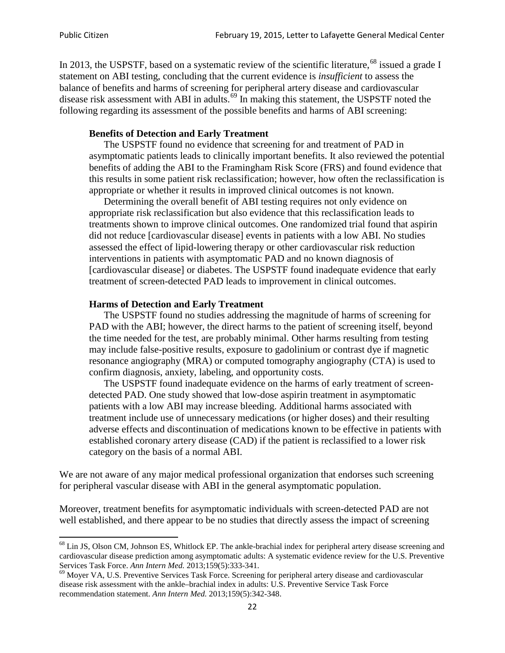In 2013, the USPSTF, based on a systematic review of the scientific literature,<sup>[68](#page-21-0)</sup> issued a grade I statement on ABI testing, concluding that the current evidence is *insufficient* to assess the balance of benefits and harms of screening for peripheral artery disease and cardiovascular disease risk assessment with ABI in adults.<sup>[69](#page-21-1)</sup> In making this statement, the USPSTF noted the following regarding its assessment of the possible benefits and harms of ABI screening:

#### **Benefits of Detection and Early Treatment**

The USPSTF found no evidence that screening for and treatment of PAD in asymptomatic patients leads to clinically important benefits. It also reviewed the potential benefits of adding the ABI to the Framingham Risk Score (FRS) and found evidence that this results in some patient risk reclassification; however, how often the reclassification is appropriate or whether it results in improved clinical outcomes is not known.

Determining the overall benefit of ABI testing requires not only evidence on appropriate risk reclassification but also evidence that this reclassification leads to treatments shown to improve clinical outcomes. One randomized trial found that aspirin did not reduce [cardiovascular disease] events in patients with a low ABI. No studies assessed the effect of lipid-lowering therapy or other cardiovascular risk reduction interventions in patients with asymptomatic PAD and no known diagnosis of [cardiovascular disease] or diabetes. The USPSTF found inadequate evidence that early treatment of screen-detected PAD leads to improvement in clinical outcomes.

#### **Harms of Detection and Early Treatment**

The USPSTF found no studies addressing the magnitude of harms of screening for PAD with the ABI; however, the direct harms to the patient of screening itself, beyond the time needed for the test, are probably minimal. Other harms resulting from testing may include false-positive results, exposure to gadolinium or contrast dye if magnetic resonance angiography (MRA) or computed tomography angiography (CTA) is used to confirm diagnosis, anxiety, labeling, and opportunity costs.

The USPSTF found inadequate evidence on the harms of early treatment of screendetected PAD. One study showed that low-dose aspirin treatment in asymptomatic patients with a low ABI may increase bleeding. Additional harms associated with treatment include use of unnecessary medications (or higher doses) and their resulting adverse effects and discontinuation of medications known to be effective in patients with established coronary artery disease (CAD) if the patient is reclassified to a lower risk category on the basis of a normal ABI.

We are not aware of any major medical professional organization that endorses such screening for peripheral vascular disease with ABI in the general asymptomatic population.

Moreover, treatment benefits for asymptomatic individuals with screen-detected PAD are not well established, and there appear to be no studies that directly assess the impact of screening

<span id="page-21-0"></span><sup>&</sup>lt;sup>68</sup> Lin JS, Olson CM, Johnson ES, Whitlock EP. The ankle-brachial index for peripheral artery disease screening and cardiovascular disease prediction among asymptomatic adults: A systematic evidence review for the U.S. Preventive Services Task Force. *Ann Intern Med.* 2013;159(5):333-341.<br><sup>69</sup> Moyer VA, U.S. Preventive Services Task Force. Screening for peripheral artery disease and cardiovascular

<span id="page-21-1"></span>disease risk assessment with the ankle–brachial index in adults: U.S. Preventive Service Task Force recommendation statement. *Ann Intern Med.* 2013;159(5):342-348.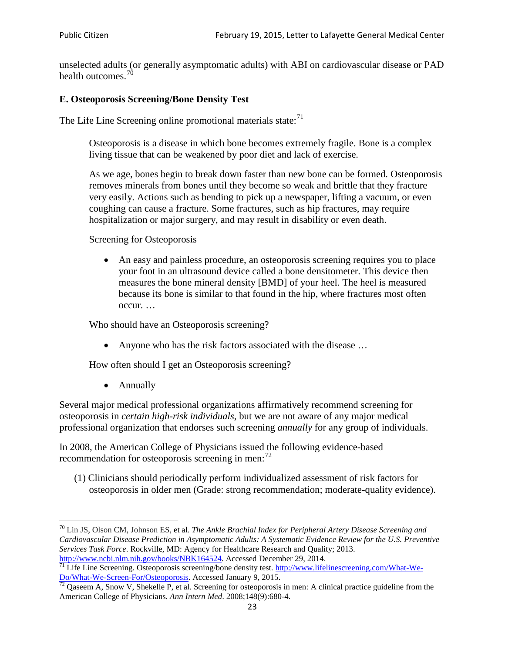unselected adults (or generally asymptomatic adults) with ABI on cardiovascular disease or PAD health outcomes.<sup>[70](#page-22-0)</sup>

## **E. Osteoporosis Screening/Bone Density Test**

The Life Line Screening online promotional materials state: $71$ 

Osteoporosis is a disease in which bone becomes extremely fragile. Bone is a complex living tissue that can be weakened by poor diet and lack of exercise.

As we age, bones begin to break down faster than new bone can be formed. Osteoporosis removes minerals from bones until they become so weak and brittle that they fracture very easily. Actions such as bending to pick up a newspaper, lifting a vacuum, or even coughing can cause a fracture. Some fractures, such as hip fractures, may require hospitalization or major surgery, and may result in disability or even death.

Screening for Osteoporosis

• An easy and painless procedure, an osteoporosis screening requires you to place your foot in an ultrasound device called a bone densitometer. This device then measures the bone mineral density [BMD] of your heel. The heel is measured because its bone is similar to that found in the hip, where fractures most often occur. …

Who should have an Osteoporosis screening?

• Anyone who has the risk factors associated with the disease ...

How often should I get an Osteoporosis screening?

• Annually

Several major medical professional organizations affirmatively recommend screening for osteoporosis in *certain high-risk individuals*, but we are not aware of any major medical professional organization that endorses such screening *annually* for any group of individuals.

In 2008, the American College of Physicians issued the following evidence-based recommendation for osteoporosis screening in men: $^{72}$  $^{72}$  $^{72}$ 

(1) Clinicians should periodically perform individualized assessment of risk factors for osteoporosis in older men (Grade: strong recommendation; moderate-quality evidence).

<span id="page-22-0"></span><sup>70</sup> [Lin JS,](http://www.ncbi.nlm.nih.gov/pubmed?term=Lin%20JS%5BAuthor%5D&cauthor=true&cauthor_uid=24156115) [Olson CM,](http://www.ncbi.nlm.nih.gov/pubmed?term=Olson%20CM%5BAuthor%5D&cauthor=true&cauthor_uid=24156115) [Johnson ES,](http://www.ncbi.nlm.nih.gov/pubmed?term=Johnson%20ES%5BAuthor%5D&cauthor=true&cauthor_uid=24156115) et al. *The Ankle Brachial Index for Peripheral Artery Disease Screening and Cardiovascular Disease Prediction in Asymptomatic Adults: A Systematic Evidence Review for the U.S. Preventive Services Task Force*. Rockville, MD: Agency for Healthcare Research and Quality; 2013.<br>http://www.ncbi.nlm.nih.gov/books/NBK164524. Accessed December 29, 2014.

<span id="page-22-1"></span> $\frac{1}{71}$  Life Line Screening. Osteoporosis screening/bone density test. [http://www.lifelinescreening.com/What-We-](http://www.lifelinescreening.com/What-We-Do/What-We-Screen-For/Osteoporosis)[Do/What-We-Screen-For/Osteoporosis.](http://www.lifelinescreening.com/What-We-Do/What-We-Screen-For/Osteoporosis) Accessed January 9, 2015. <sup>72</sup> Qaseem A, Snow V, Shekelle P, et al. Screening for osteoporosis in men: A clinical practice guideline from the

<span id="page-22-2"></span>American College of Physicians. *Ann Intern Med*. 2008;148(9):680-4.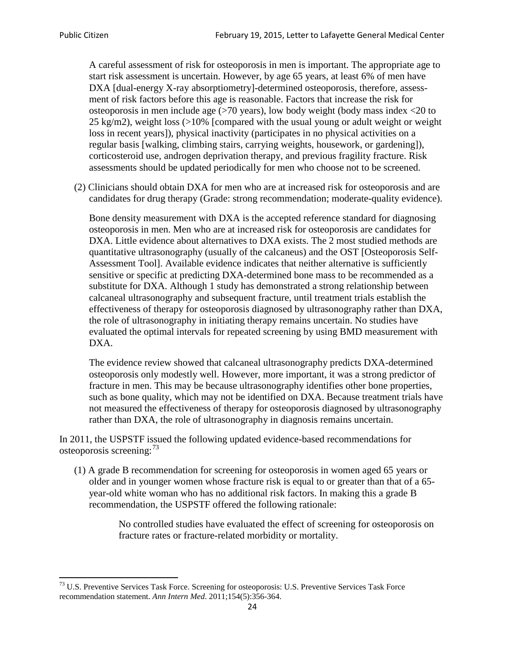A careful assessment of risk for osteoporosis in men is important. The appropriate age to start risk assessment is uncertain. However, by age 65 years, at least 6% of men have DXA [dual-energy X-ray absorptiometry]-determined osteoporosis, therefore, assessment of risk factors before this age is reasonable. Factors that increase the risk for osteoporosis in men include age (>70 years), low body weight (body mass index <20 to 25 kg/m2), weight loss (>10% [compared with the usual young or adult weight or weight loss in recent years]), physical inactivity (participates in no physical activities on a regular basis [walking, climbing stairs, carrying weights, housework, or gardening]), corticosteroid use, androgen deprivation therapy, and previous fragility fracture. Risk assessments should be updated periodically for men who choose not to be screened.

(2) Clinicians should obtain DXA for men who are at increased risk for osteoporosis and are candidates for drug therapy (Grade: strong recommendation; moderate-quality evidence).

Bone density measurement with DXA is the accepted reference standard for diagnosing osteoporosis in men. Men who are at increased risk for osteoporosis are candidates for DXA. Little evidence about alternatives to DXA exists. The 2 most studied methods are quantitative ultrasonography (usually of the calcaneus) and the OST [Osteoporosis Self-Assessment Tool]. Available evidence indicates that neither alternative is sufficiently sensitive or specific at predicting DXA-determined bone mass to be recommended as a substitute for DXA. Although 1 study has demonstrated a strong relationship between calcaneal ultrasonography and subsequent fracture, until treatment trials establish the effectiveness of therapy for osteoporosis diagnosed by ultrasonography rather than DXA, the role of ultrasonography in initiating therapy remains uncertain. No studies have evaluated the optimal intervals for repeated screening by using BMD measurement with DXA.

The evidence review showed that calcaneal ultrasonography predicts DXA-determined osteoporosis only modestly well. However, more important, it was a strong predictor of fracture in men. This may be because ultrasonography identifies other bone properties, such as bone quality, which may not be identified on DXA. Because treatment trials have not measured the effectiveness of therapy for osteoporosis diagnosed by ultrasonography rather than DXA, the role of ultrasonography in diagnosis remains uncertain.

In 2011, the USPSTF issued the following updated evidence-based recommendations for osteoporosis screening:<sup>[73](#page-23-0)</sup>

(1) A grade B recommendation for screening for osteoporosis in women aged 65 years or older and in younger women whose fracture risk is equal to or greater than that of a 65 year-old white woman who has no additional risk factors. In making this a grade B recommendation, the USPSTF offered the following rationale:

> No controlled studies have evaluated the effect of screening for osteoporosis on fracture rates or fracture-related morbidity or mortality.

<span id="page-23-0"></span><sup>&</sup>lt;sup>73</sup> U.S. Preventive Services Task Force. Screening for osteoporosis: U.S. Preventive Services Task Force recommendation statement. *Ann Intern Med*. 2011;154(5):356-364.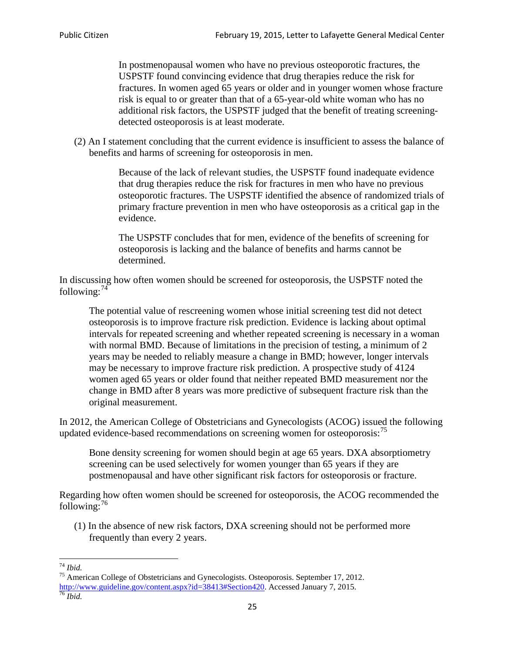In postmenopausal women who have no previous osteoporotic fractures, the USPSTF found convincing evidence that drug therapies reduce the risk for fractures. In women aged 65 years or older and in younger women whose fracture risk is equal to or greater than that of a 65-year-old white woman who has no additional risk factors, the USPSTF judged that the benefit of treating screeningdetected osteoporosis is at least moderate.

(2) An I statement concluding that the current evidence is insufficient to assess the balance of benefits and harms of screening for osteoporosis in men.

> Because of the lack of relevant studies, the USPSTF found inadequate evidence that drug therapies reduce the risk for fractures in men who have no previous osteoporotic fractures. The USPSTF identified the absence of randomized trials of primary fracture prevention in men who have osteoporosis as a critical gap in the evidence.

The USPSTF concludes that for men, evidence of the benefits of screening for osteoporosis is lacking and the balance of benefits and harms cannot be determined.

In discussing how often women should be screened for osteoporosis, the USPSTF noted the following: $74$ 

The potential value of rescreening women whose initial screening test did not detect osteoporosis is to improve fracture risk prediction. Evidence is lacking about optimal intervals for repeated screening and whether repeated screening is necessary in a woman with normal BMD. Because of limitations in the precision of testing, a minimum of 2 years may be needed to reliably measure a change in BMD; however, longer intervals may be necessary to improve fracture risk prediction. A prospective study of 4124 women aged 65 years or older found that neither repeated BMD measurement nor the change in BMD after 8 years was more predictive of subsequent fracture risk than the original measurement.

In 2012, the American College of Obstetricians and Gynecologists (ACOG) issued the following updated evidence-based recommendations on screening women for osteoporosis:<sup>[75](#page-24-1)</sup>

Bone density screening for women should begin at age 65 years. DXA absorptiometry screening can be used selectively for women younger than 65 years if they are postmenopausal and have other significant risk factors for osteoporosis or fracture.

Regarding how often women should be screened for osteoporosis, the ACOG recommended the following: $^{76}$  $^{76}$  $^{76}$ 

(1) In the absence of new risk factors, DXA screening should not be performed more frequently than every 2 years.

<span id="page-24-2"></span><span id="page-24-1"></span><span id="page-24-0"></span><sup>74</sup> *Ibid.* <sup>75</sup> American College of Obstetricians and Gynecologists. Osteoporosis. September 17, 2012. [http://www.guideline.gov/content.aspx?id=38413#Section420.](http://www.guideline.gov/content.aspx?id=38413#Section420) Accessed January 7, 2015.<br><sup>76</sup> *Ibid.*